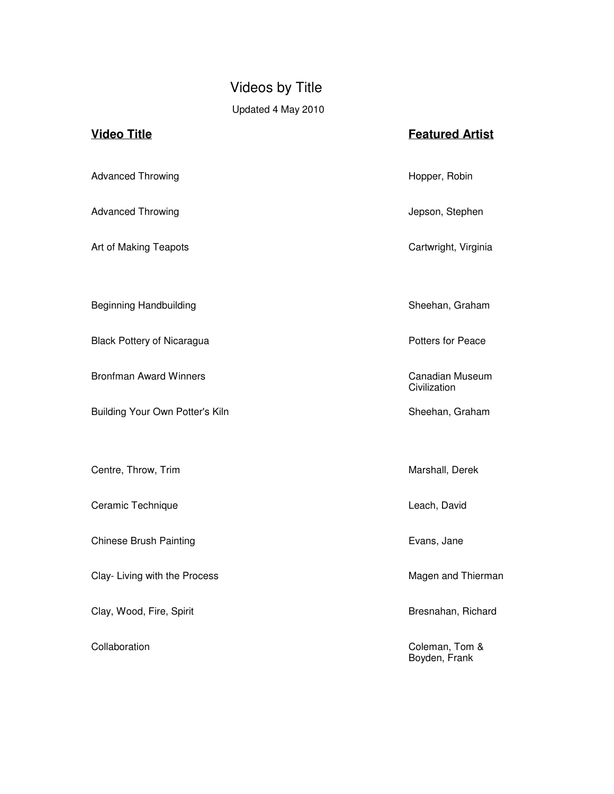## Videos by Title Updated 4 May 2010

# **Video Title Featured Artist** Advanced Throwing **Hopper, Robin** Hopper, Robin Advanced Throwing **Advanced Throwing Jepson**, Stephen Art of Making Teapots **Cartwright, Virginia** Beginning Handbuilding Sheehan, Graham Black Pottery of Nicaragua **Potters** for Peace Bronfman Award Winners **Canadian Museum** Canadian Museum **Civilization** Building Your Own Potter's Kiln Sheehan, Graham Centre, Throw, Trim **Marshall**, Derek Ceramic Technique **Leach, David** Leach, David Chinese Brush Painting **Evans, Jane** Clay- Living with the Process **Magen and Thierman** Clay-Clay, Wood, Fire, Spirit **Bresnahan, Richard** Bresnahan, Richard Collaboration Coleman, Tom & Boyden, Frank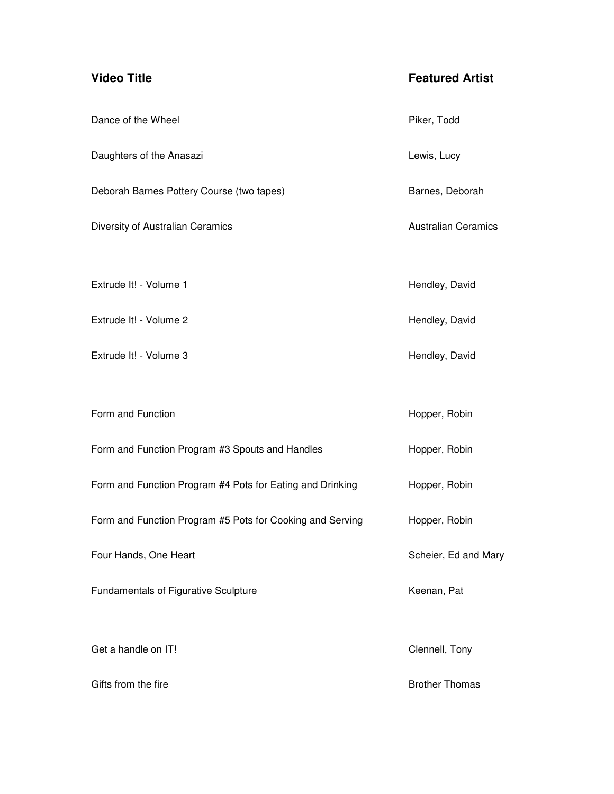| Dance of the Wheel                                        | Piker, Todd                |
|-----------------------------------------------------------|----------------------------|
| Daughters of the Anasazi                                  | Lewis, Lucy                |
| Deborah Barnes Pottery Course (two tapes)                 | Barnes, Deborah            |
| Diversity of Australian Ceramics                          | <b>Australian Ceramics</b> |
|                                                           |                            |
| Extrude It! - Volume 1                                    | Hendley, David             |
| Extrude It! - Volume 2                                    | Hendley, David             |
| Extrude It! - Volume 3                                    | Hendley, David             |
|                                                           |                            |
| Form and Function                                         | Hopper, Robin              |
| Form and Function Program #3 Spouts and Handles           | Hopper, Robin              |
| Form and Function Program #4 Pots for Eating and Drinking | Hopper, Robin              |
| Form and Function Program #5 Pots for Cooking and Serving | Hopper, Robin              |
| Four Hands, One Heart                                     | Scheier, Ed and Mary       |
| Fundamentals of Figurative Sculpture                      | Keenan, Pat                |
|                                                           |                            |
| Get a handle on IT!                                       | Clennell, Tony             |
| Gifts from the fire                                       | <b>Brother Thomas</b>      |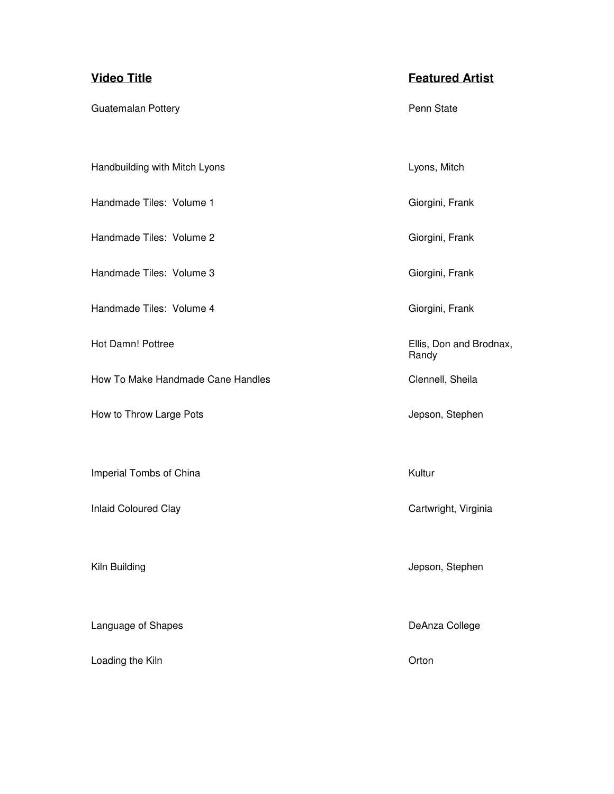Guatemalan Pottery **Pennis and State** Penn State Handbuilding with Mitch Lyons **Lyons** Lyons, Mitch Handmade Tiles: Volume 1 Giorgini, Frank Handmade Tiles: Volume 2 Giorgini, Frank Handmade Tiles: Volume 3 Giorgini, Frank Handmade Tiles: Volume 4 Giorgini, Frank Hot Damn! Pottree **Ellis**, Don and Brodnax, Randy How To Make Handmade Cane Handles **Communist Clennell**, Sheila How to Throw Large Pots **Accord 2018** Jepson, Stephen Imperial Tombs of China **Kultur** Kultur Inlaid Coloured Clay Cartwright, Virginia Kiln Building **Accord 2018** Stephen and Tennis and Tennis and Tennis and Tennis Accord 2019 Jepson, Stephen Language of Shapes **DeAnza College** 

Loading the Kiln **Community** Contact Community Contact Contact Contact Contact Contact Contact Contact Contact Contact Contact Contact Contact Contact Contact Contact Contact Contact Contact Contact Contact Contact Contact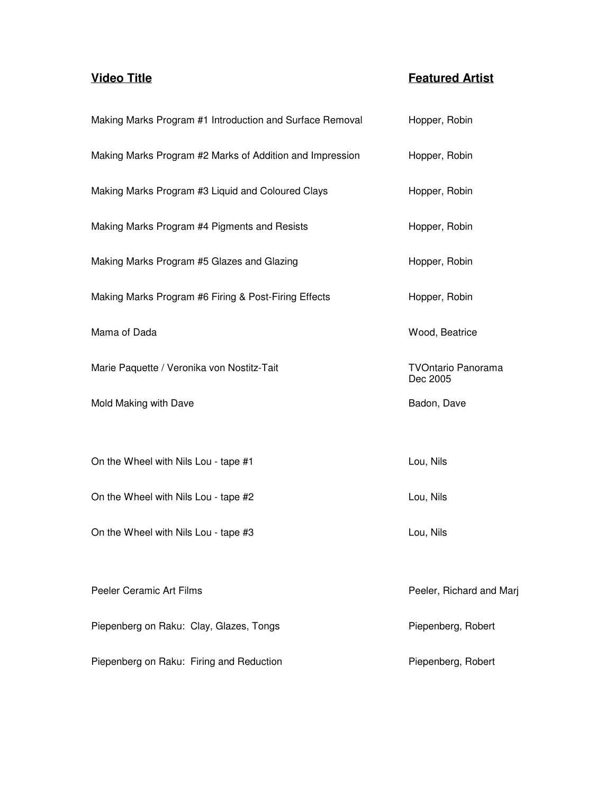| Making Marks Program #1 Introduction and Surface Removal | Hopper, Robin                         |
|----------------------------------------------------------|---------------------------------------|
| Making Marks Program #2 Marks of Addition and Impression | Hopper, Robin                         |
| Making Marks Program #3 Liquid and Coloured Clays        | Hopper, Robin                         |
| Making Marks Program #4 Pigments and Resists             | Hopper, Robin                         |
| Making Marks Program #5 Glazes and Glazing               | Hopper, Robin                         |
| Making Marks Program #6 Firing & Post-Firing Effects     | Hopper, Robin                         |
| Mama of Dada                                             | Wood, Beatrice                        |
| Marie Paquette / Veronika von Nostitz-Tait               | <b>TVOntario Panorama</b><br>Dec 2005 |
| Mold Making with Dave                                    | Badon, Dave                           |
|                                                          |                                       |
| On the Wheel with Nils Lou - tape #1                     | Lou, Nils                             |
| On the Wheel with Nils Lou - tape #2                     | Lou, Nils                             |
| On the Wheel with Nils Lou - tape #3                     | Lou, Nils                             |
|                                                          |                                       |
| Peeler Ceramic Art Films                                 | Peeler, Richard and Marj              |
| Piepenberg on Raku: Clay, Glazes, Tongs                  | Piepenberg, Robert                    |
| Piepenberg on Raku: Firing and Reduction                 | Piepenberg, Robert                    |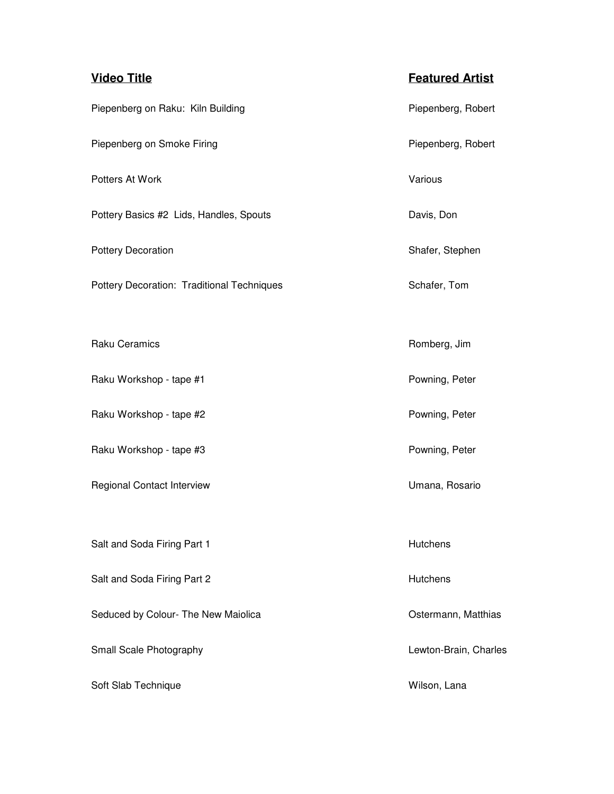| <b>Video Title</b>                         | <b>Featured Artist</b> |
|--------------------------------------------|------------------------|
| Piepenberg on Raku: Kiln Building          | Piepenberg, Robert     |
| Piepenberg on Smoke Firing                 | Piepenberg, Robert     |
| Potters At Work                            | Various                |
| Pottery Basics #2 Lids, Handles, Spouts    | Davis, Don             |
| <b>Pottery Decoration</b>                  | Shafer, Stephen        |
| Pottery Decoration: Traditional Techniques | Schafer, Tom           |
|                                            |                        |
| <b>Raku Ceramics</b>                       | Romberg, Jim           |
| Raku Workshop - tape #1                    | Powning, Peter         |
| Raku Workshop - tape #2                    | Powning, Peter         |
| Raku Workshop - tape #3                    | Powning, Peter         |
| <b>Regional Contact Interview</b>          | Umana, Rosario         |
|                                            |                        |
| Salt and Soda Firing Part 1                | Hutchens               |
| Salt and Soda Firing Part 2                | Hutchens               |
| Seduced by Colour- The New Maiolica        | Ostermann, Matthias    |
| Small Scale Photography                    | Lewton-Brain, Charles  |
| Soft Slab Technique                        | Wilson, Lana           |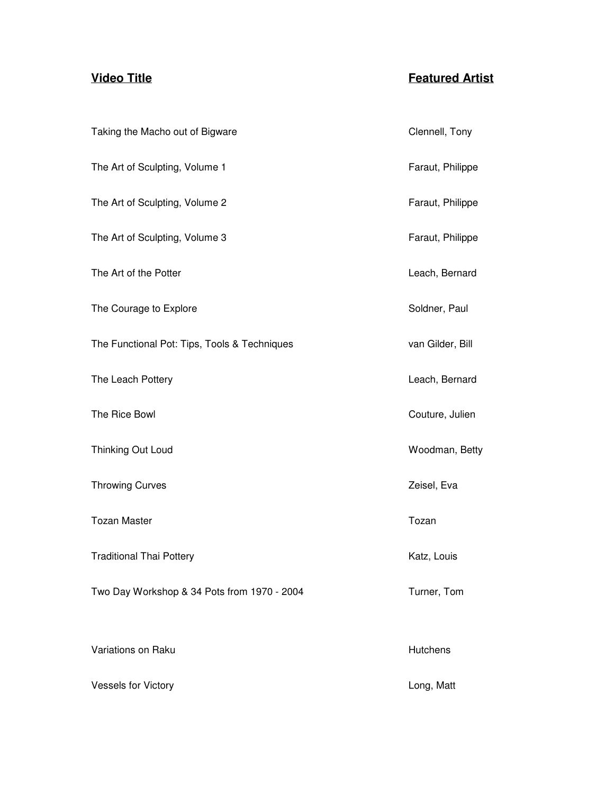| Taking the Macho out of Bigware              | Clennell, Tony   |
|----------------------------------------------|------------------|
| The Art of Sculpting, Volume 1               | Faraut, Philippe |
| The Art of Sculpting, Volume 2               | Faraut, Philippe |
| The Art of Sculpting, Volume 3               | Faraut, Philippe |
| The Art of the Potter                        | Leach, Bernard   |
| The Courage to Explore                       | Soldner, Paul    |
| The Functional Pot: Tips, Tools & Techniques | van Gilder, Bill |
| The Leach Pottery                            | Leach, Bernard   |
| The Rice Bowl                                | Couture, Julien  |
| Thinking Out Loud                            | Woodman, Betty   |
| <b>Throwing Curves</b>                       | Zeisel, Eva      |
| <b>Tozan Master</b>                          | Tozan            |
| <b>Traditional Thai Pottery</b>              | Katz, Louis      |
| Two Day Workshop & 34 Pots from 1970 - 2004  | Turner, Tom      |
|                                              |                  |
| Variations on Raku                           | Hutchens         |
| <b>Vessels for Victory</b>                   | Long, Matt       |